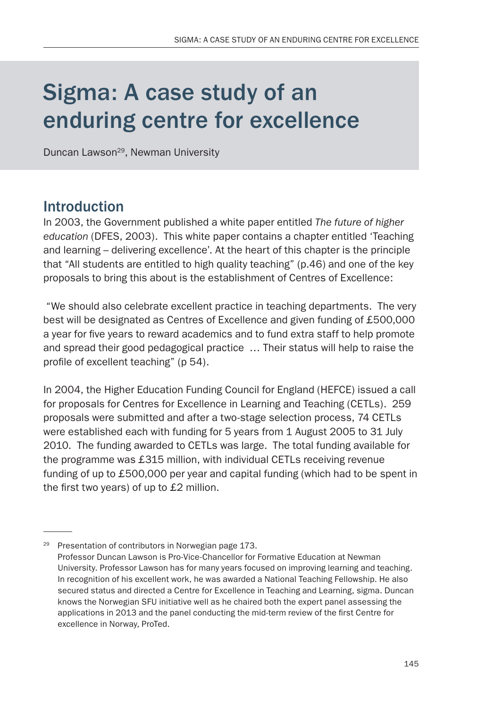# Sigma: A case study of an enduring centre for excellence

Duncan Lawson<sup>29</sup>, Newman University

### Introduction

In 2003, the Government published a white paper entitled *The future of higher education* (DFES, 2003). This white paper contains a chapter entitled 'Teaching and learning – delivering excellence'. At the heart of this chapter is the principle that "All students are entitled to high quality teaching" (p.46) and one of the key proposals to bring this about is the establishment of Centres of Excellence:

 "We should also celebrate excellent practice in teaching departments. The very best will be designated as Centres of Excellence and given funding of £500,000 a year for five years to reward academics and to fund extra staff to help promote and spread their good pedagogical practice … Their status will help to raise the profile of excellent teaching" (p 54).

In 2004, the Higher Education Funding Council for England (HEFCE) issued a call for proposals for Centres for Excellence in Learning and Teaching (CETLs). 259 proposals were submitted and after a two-stage selection process, 74 CETLs were established each with funding for 5 years from 1 August 2005 to 31 July 2010. The funding awarded to CETLs was large. The total funding available for the programme was £315 million, with individual CETLs receiving revenue funding of up to £500,000 per year and capital funding (which had to be spent in the first two years) of up to £2 million.

<sup>29</sup> Presentation of contributors in Norwegian page 173. Professor Duncan Lawson is Pro-Vice-Chancellor for Formative Education at Newman University. Professor Lawson has for many years focused on improving learning and teaching. In recognition of his excellent work, he was awarded a National Teaching Fellowship. He also secured status and directed a Centre for Excellence in Teaching and Learning, sigma. Duncan knows the Norwegian SFU initiative well as he chaired both the expert panel assessing the applications in 2013 and the panel conducting the mid-term review of the first Centre for excellence in Norway, ProTed.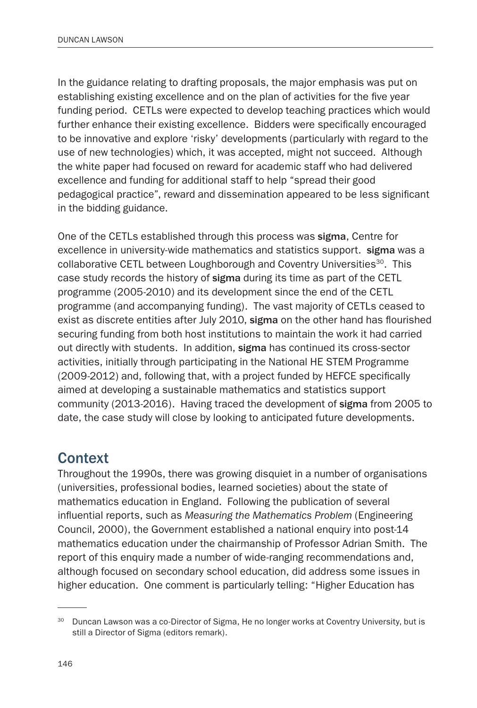In the guidance relating to drafting proposals, the major emphasis was put on establishing existing excellence and on the plan of activities for the five year funding period. CETLs were expected to develop teaching practices which would further enhance their existing excellence. Bidders were specifically encouraged to be innovative and explore 'risky' developments (particularly with regard to the use of new technologies) which, it was accepted, might not succeed. Although the white paper had focused on reward for academic staff who had delivered excellence and funding for additional staff to help "spread their good pedagogical practice", reward and dissemination appeared to be less significant in the bidding guidance.

One of the CETLs established through this process was sigma, Centre for excellence in university-wide mathematics and statistics support. sigma was a collaborative CETL between Loughborough and Coventry Universities<sup>30</sup>. This case study records the history of sigma during its time as part of the CETL programme (2005-2010) and its development since the end of the CETL programme (and accompanying funding). The vast majority of CETLs ceased to exist as discrete entities after July 2010, sigma on the other hand has flourished securing funding from both host institutions to maintain the work it had carried out directly with students. In addition, sigma has continued its cross-sector activities, initially through participating in the National HE STEM Programme (2009-2012) and, following that, with a project funded by HEFCE specifically aimed at developing a sustainable mathematics and statistics support community (2013-2016). Having traced the development of sigma from 2005 to date, the case study will close by looking to anticipated future developments.

### **Context**

Throughout the 1990s, there was growing disquiet in a number of organisations (universities, professional bodies, learned societies) about the state of mathematics education in England. Following the publication of several influential reports, such as *Measuring the Mathematics Problem* (Engineering Council, 2000), the Government established a national enquiry into post-14 mathematics education under the chairmanship of Professor Adrian Smith. The report of this enquiry made a number of wide-ranging recommendations and, although focused on secondary school education, did address some issues in higher education. One comment is particularly telling: "Higher Education has

<sup>&</sup>lt;sup>30</sup> Duncan Lawson was a co-Director of Sigma, He no longer works at Coventry University, but is still a Director of Sigma (editors remark).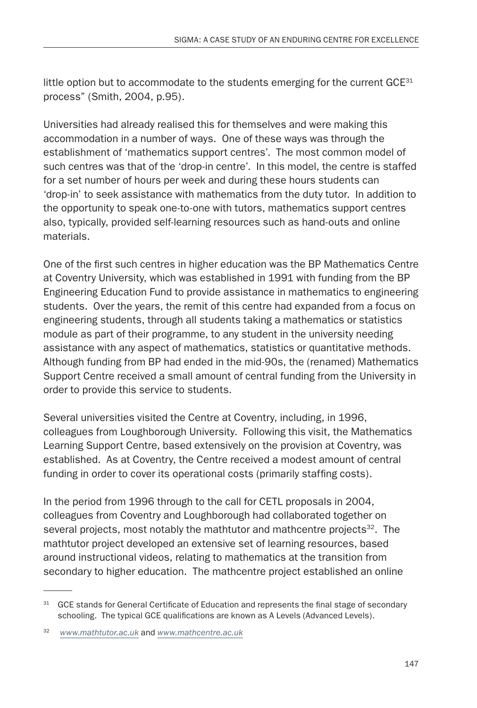little option but to accommodate to the students emerging for the current  $GCE^{31}$ process" (Smith, 2004, p.95).

Universities had already realised this for themselves and were making this accommodation in a number of ways. One of these ways was through the establishment of 'mathematics support centres'. The most common model of such centres was that of the 'drop-in centre'. In this model, the centre is staffed for a set number of hours per week and during these hours students can 'drop-in' to seek assistance with mathematics from the duty tutor. In addition to the opportunity to speak one-to-one with tutors, mathematics support centres also, typically, provided self-learning resources such as hand-outs and online materials.

One of the first such centres in higher education was the BP Mathematics Centre at Coventry University, which was established in 1991 with funding from the BP Engineering Education Fund to provide assistance in mathematics to engineering students. Over the years, the remit of this centre had expanded from a focus on engineering students, through all students taking a mathematics or statistics module as part of their programme, to any student in the university needing assistance with any aspect of mathematics, statistics or quantitative methods. Although funding from BP had ended in the mid-90s, the (renamed) Mathematics Support Centre received a small amount of central funding from the University in order to provide this service to students.

Several universities visited the Centre at Coventry, including, in 1996, colleagues from Loughborough University. Following this visit, the Mathematics Learning Support Centre, based extensively on the provision at Coventry, was established. As at Coventry, the Centre received a modest amount of central funding in order to cover its operational costs (primarily staffing costs).

In the period from 1996 through to the call for CETL proposals in 2004, colleagues from Coventry and Loughborough had collaborated together on several projects, most notably the mathtutor and mathcentre projects $32$ . The mathtutor project developed an extensive set of learning resources, based around instructional videos, relating to mathematics at the transition from secondary to higher education. The mathcentre project established an online

<sup>&</sup>lt;sup>31</sup> GCE stands for General Certificate of Education and represents the final stage of secondary schooling. The typical GCE qualifications are known as A Levels (Advanced Levels).

<sup>32</sup> *[www.mathtutor.ac.uk](http://www.mathtutor.ac.uk)* and *[www.mathcentre.ac.uk](http://www.mathcentre.ac.uk)*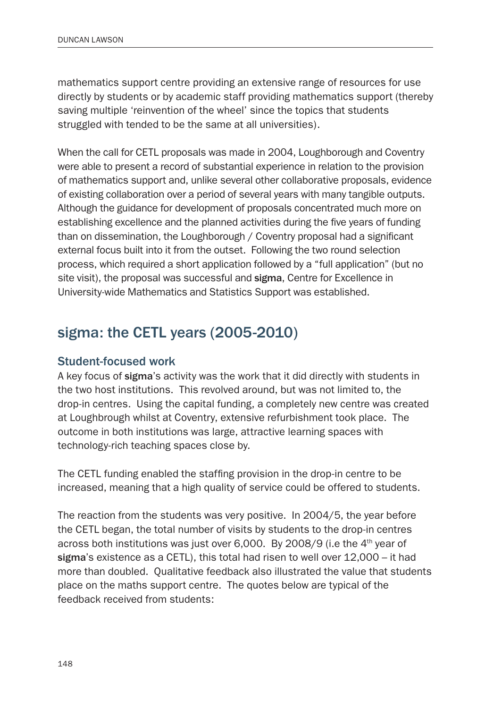mathematics support centre providing an extensive range of resources for use directly by students or by academic staff providing mathematics support (thereby saving multiple 'reinvention of the wheel' since the topics that students struggled with tended to be the same at all universities).

When the call for CETL proposals was made in 2004, Loughborough and Coventry were able to present a record of substantial experience in relation to the provision of mathematics support and, unlike several other collaborative proposals, evidence of existing collaboration over a period of several years with many tangible outputs. Although the guidance for development of proposals concentrated much more on establishing excellence and the planned activities during the five years of funding than on dissemination, the Loughborough / Coventry proposal had a significant external focus built into it from the outset. Following the two round selection process, which required a short application followed by a "full application" (but no site visit), the proposal was successful and sigma, Centre for Excellence in University-wide Mathematics and Statistics Support was established.

# sigma: the CETL years (2005-2010)

#### Student-focused work

A key focus of sigma's activity was the work that it did directly with students in the two host institutions. This revolved around, but was not limited to, the drop-in centres. Using the capital funding, a completely new centre was created at Loughbrough whilst at Coventry, extensive refurbishment took place. The outcome in both institutions was large, attractive learning spaces with technology-rich teaching spaces close by.

The CETL funding enabled the staffing provision in the drop-in centre to be increased, meaning that a high quality of service could be offered to students.

The reaction from the students was very positive. In 2004/5, the year before the CETL began, the total number of visits by students to the drop-in centres across both institutions was just over 6,000. By 2008/9 (i.e the  $4<sup>th</sup>$  year of sigma's existence as a CETL), this total had risen to well over 12,000 – it had more than doubled. Qualitative feedback also illustrated the value that students place on the maths support centre. The quotes below are typical of the feedback received from students: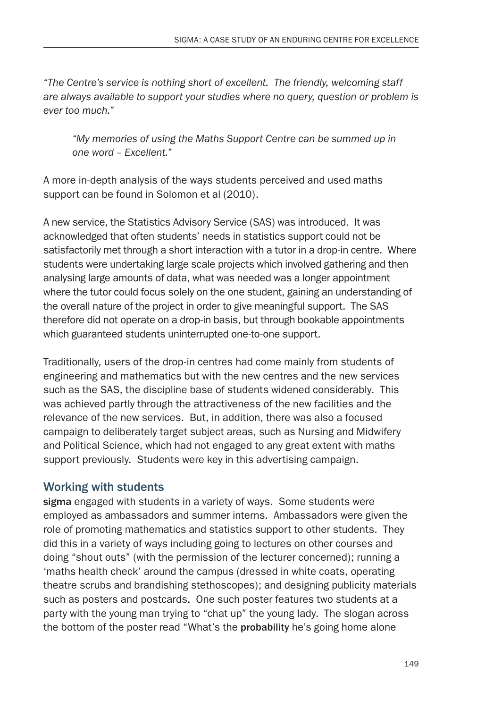*"The Centre's service is nothing short of excellent. The friendly, welcoming staff are always available to support your studies where no query, question or problem is ever too much."*

*"My memories of using the Maths Support Centre can be summed up in one word – Excellent."*

A more in-depth analysis of the ways students perceived and used maths support can be found in Solomon et al (2010).

A new service, the Statistics Advisory Service (SAS) was introduced. It was acknowledged that often students' needs in statistics support could not be satisfactorily met through a short interaction with a tutor in a drop-in centre. Where students were undertaking large scale projects which involved gathering and then analysing large amounts of data, what was needed was a longer appointment where the tutor could focus solely on the one student, gaining an understanding of the overall nature of the project in order to give meaningful support. The SAS therefore did not operate on a drop-in basis, but through bookable appointments which guaranteed students uninterrupted one-to-one support.

Traditionally, users of the drop-in centres had come mainly from students of engineering and mathematics but with the new centres and the new services such as the SAS, the discipline base of students widened considerably. This was achieved partly through the attractiveness of the new facilities and the relevance of the new services. But, in addition, there was also a focused campaign to deliberately target subject areas, such as Nursing and Midwifery and Political Science, which had not engaged to any great extent with maths support previously. Students were key in this advertising campaign.

### Working with students

sigma engaged with students in a variety of ways. Some students were employed as ambassadors and summer interns. Ambassadors were given the role of promoting mathematics and statistics support to other students. They did this in a variety of ways including going to lectures on other courses and doing "shout outs" (with the permission of the lecturer concerned); running a 'maths health check' around the campus (dressed in white coats, operating theatre scrubs and brandishing stethoscopes); and designing publicity materials such as posters and postcards. One such poster features two students at a party with the young man trying to "chat up" the young lady. The slogan across the bottom of the poster read "What's the probability he's going home alone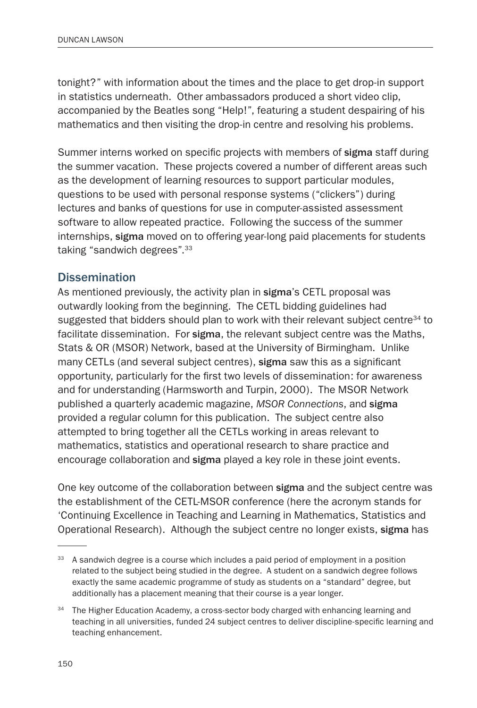tonight?" with information about the times and the place to get drop-in support in statistics underneath. Other ambassadors produced a short video clip, accompanied by the Beatles song "Help!", featuring a student despairing of his mathematics and then visiting the drop-in centre and resolving his problems.

Summer interns worked on specific projects with members of sigma staff during the summer vacation. These projects covered a number of different areas such as the development of learning resources to support particular modules, questions to be used with personal response systems ("clickers") during lectures and banks of questions for use in computer-assisted assessment software to allow repeated practice. Following the success of the summer internships, sigma moved on to offering year-long paid placements for students taking "sandwich degrees".33

#### **Dissemination**

As mentioned previously, the activity plan in sigma's CETL proposal was outwardly looking from the beginning. The CETL bidding guidelines had suggested that bidders should plan to work with their relevant subject centre<sup>34</sup> to facilitate dissemination. For sigma, the relevant subject centre was the Maths, Stats & OR (MSOR) Network, based at the University of Birmingham. Unlike many CETLs (and several subject centres), sigma saw this as a significant opportunity, particularly for the first two levels of dissemination: for awareness and for understanding (Harmsworth and Turpin, 2000). The MSOR Network published a quarterly academic magazine, *MSOR Connections*, and sigma provided a regular column for this publication. The subject centre also attempted to bring together all the CETLs working in areas relevant to mathematics, statistics and operational research to share practice and encourage collaboration and sigma played a key role in these joint events.

One key outcome of the collaboration between sigma and the subject centre was the establishment of the CETL-MSOR conference (here the acronym stands for 'Continuing Excellence in Teaching and Learning in Mathematics, Statistics and Operational Research). Although the subject centre no longer exists, sigma has

<sup>&</sup>lt;sup>33</sup> A sandwich degree is a course which includes a paid period of employment in a position related to the subject being studied in the degree. A student on a sandwich degree follows exactly the same academic programme of study as students on a "standard" degree, but additionally has a placement meaning that their course is a year longer.

<sup>&</sup>lt;sup>34</sup> The Higher Education Academy, a cross-sector body charged with enhancing learning and teaching in all universities, funded 24 subject centres to deliver discipline-specific learning and teaching enhancement.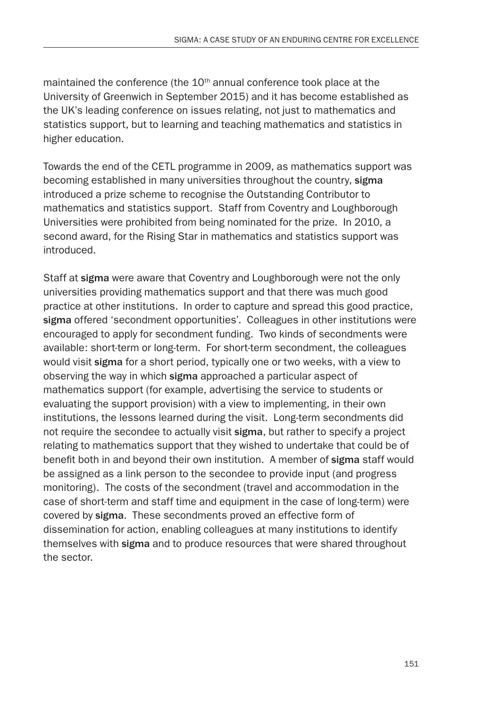maintained the conference (the  $10<sup>th</sup>$  annual conference took place at the University of Greenwich in September 2015) and it has become established as the UK's leading conference on issues relating, not just to mathematics and statistics support, but to learning and teaching mathematics and statistics in higher education.

Towards the end of the CETL programme in 2009, as mathematics support was becoming established in many universities throughout the country, sigma introduced a prize scheme to recognise the Outstanding Contributor to mathematics and statistics support. Staff from Coventry and Loughborough Universities were prohibited from being nominated for the prize. In 2010, a second award, for the Rising Star in mathematics and statistics support was introduced.

Staff at sigma were aware that Coventry and Loughborough were not the only universities providing mathematics support and that there was much good practice at other institutions. In order to capture and spread this good practice, sigma offered 'secondment opportunities'. Colleagues in other institutions were encouraged to apply for secondment funding. Two kinds of secondments were available: short-term or long-term. For short-term secondment, the colleagues would visit sigma for a short period, typically one or two weeks, with a view to observing the way in which sigma approached a particular aspect of mathematics support (for example, advertising the service to students or evaluating the support provision) with a view to implementing, in their own institutions, the lessons learned during the visit. Long-term secondments did not require the secondee to actually visit sigma, but rather to specify a project relating to mathematics support that they wished to undertake that could be of benefit both in and beyond their own institution. A member of sigma staff would be assigned as a link person to the secondee to provide input (and progress monitoring). The costs of the secondment (travel and accommodation in the case of short-term and staff time and equipment in the case of long-term) were covered by sigma. These secondments proved an effective form of dissemination for action, enabling colleagues at many institutions to identify themselves with sigma and to produce resources that were shared throughout the sector.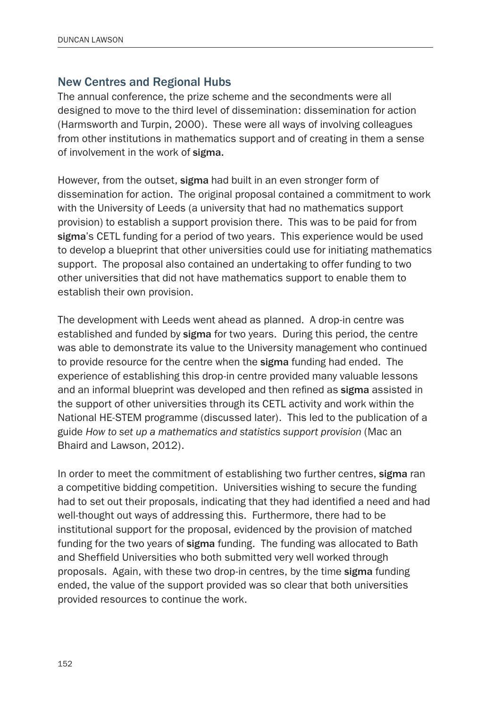#### New Centres and Regional Hubs

The annual conference, the prize scheme and the secondments were all designed to move to the third level of dissemination: dissemination for action (Harmsworth and Turpin, 2000). These were all ways of involving colleagues from other institutions in mathematics support and of creating in them a sense of involvement in the work of sigma.

However, from the outset, sigma had built in an even stronger form of dissemination for action. The original proposal contained a commitment to work with the University of Leeds (a university that had no mathematics support provision) to establish a support provision there. This was to be paid for from sigma's CETL funding for a period of two years. This experience would be used to develop a blueprint that other universities could use for initiating mathematics support. The proposal also contained an undertaking to offer funding to two other universities that did not have mathematics support to enable them to establish their own provision.

The development with Leeds went ahead as planned. A drop-in centre was established and funded by sigma for two years. During this period, the centre was able to demonstrate its value to the University management who continued to provide resource for the centre when the sigma funding had ended. The experience of establishing this drop-in centre provided many valuable lessons and an informal blueprint was developed and then refined as sigma assisted in the support of other universities through its CETL activity and work within the National HE-STEM programme (discussed later). This led to the publication of a guide *How to set up a mathematics and statistics support provision* (Mac an Bhaird and Lawson, 2012).

In order to meet the commitment of establishing two further centres, sigma ran a competitive bidding competition. Universities wishing to secure the funding had to set out their proposals, indicating that they had identified a need and had well-thought out ways of addressing this. Furthermore, there had to be institutional support for the proposal, evidenced by the provision of matched funding for the two years of sigma funding. The funding was allocated to Bath and Sheffield Universities who both submitted very well worked through proposals. Again, with these two drop-in centres, by the time sigma funding ended, the value of the support provided was so clear that both universities provided resources to continue the work.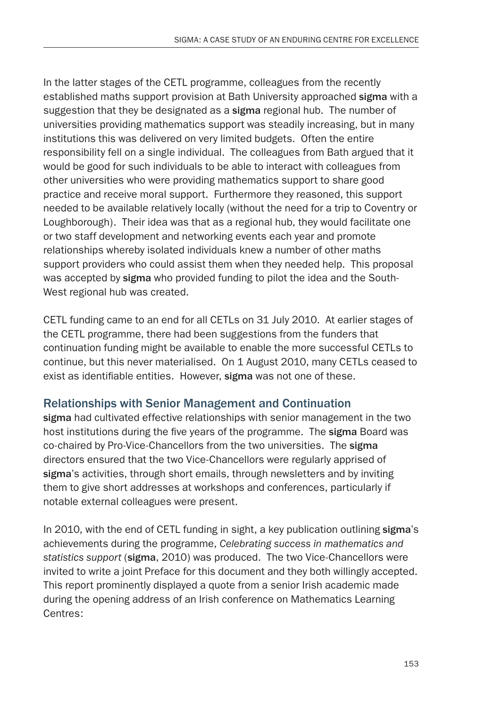In the latter stages of the CETL programme, colleagues from the recently established maths support provision at Bath University approached sigma with a suggestion that they be designated as a sigma regional hub. The number of universities providing mathematics support was steadily increasing, but in many institutions this was delivered on very limited budgets. Often the entire responsibility fell on a single individual. The colleagues from Bath argued that it would be good for such individuals to be able to interact with colleagues from other universities who were providing mathematics support to share good practice and receive moral support. Furthermore they reasoned, this support needed to be available relatively locally (without the need for a trip to Coventry or Loughborough). Their idea was that as a regional hub, they would facilitate one or two staff development and networking events each year and promote relationships whereby isolated individuals knew a number of other maths support providers who could assist them when they needed help. This proposal was accepted by sigma who provided funding to pilot the idea and the South-West regional hub was created.

CETL funding came to an end for all CETLs on 31 July 2010. At earlier stages of the CETL programme, there had been suggestions from the funders that continuation funding might be available to enable the more successful CETLs to continue, but this never materialised. On 1 August 2010, many CETLs ceased to exist as identifiable entities. However, sigma was not one of these.

### Relationships with Senior Management and Continuation

sigma had cultivated effective relationships with senior management in the two host institutions during the five years of the programme. The sigma Board was co-chaired by Pro-Vice-Chancellors from the two universities. The sigma directors ensured that the two Vice-Chancellors were regularly apprised of sigma's activities, through short emails, through newsletters and by inviting them to give short addresses at workshops and conferences, particularly if notable external colleagues were present.

In 2010, with the end of CETL funding in sight, a key publication outlining sigma's achievements during the programme, *Celebrating success in mathematics and statistics support* (sigma, 2010) was produced. The two Vice-Chancellors were invited to write a joint Preface for this document and they both willingly accepted. This report prominently displayed a quote from a senior Irish academic made during the opening address of an Irish conference on Mathematics Learning Centres: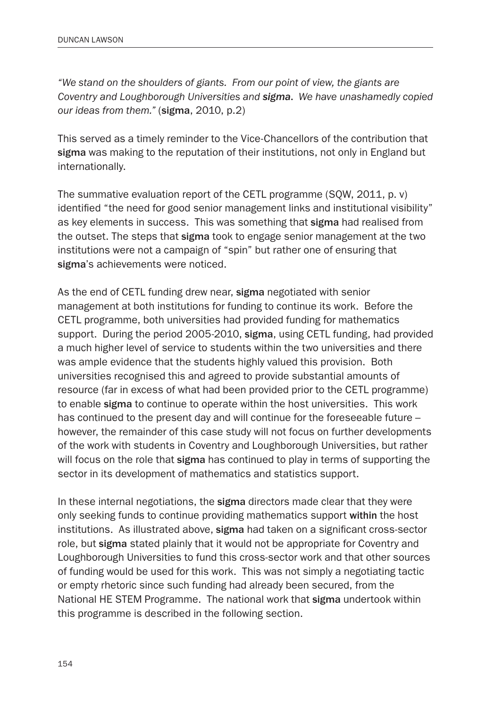*"We stand on the shoulders of giants. From our point of view, the giants are Coventry and Loughborough Universities and sigma*. *We have unashamedly copied our ideas from them."* (sigma, 2010, p.2)

This served as a timely reminder to the Vice-Chancellors of the contribution that sigma was making to the reputation of their institutions, not only in England but internationally.

The summative evaluation report of the CETL programme (SQW, 2011, p. v) identified "the need for good senior management links and institutional visibility" as key elements in success. This was something that sigma had realised from the outset. The steps that sigma took to engage senior management at the two institutions were not a campaign of "spin" but rather one of ensuring that sigma's achievements were noticed.

As the end of CETL funding drew near, sigma negotiated with senior management at both institutions for funding to continue its work. Before the CETL programme, both universities had provided funding for mathematics support. During the period 2005-2010, sigma, using CETL funding, had provided a much higher level of service to students within the two universities and there was ample evidence that the students highly valued this provision. Both universities recognised this and agreed to provide substantial amounts of resource (far in excess of what had been provided prior to the CETL programme) to enable sigma to continue to operate within the host universities. This work has continued to the present day and will continue for the foreseeable future – however, the remainder of this case study will not focus on further developments of the work with students in Coventry and Loughborough Universities, but rather will focus on the role that sigma has continued to play in terms of supporting the sector in its development of mathematics and statistics support.

In these internal negotiations, the **sigma** directors made clear that they were only seeking funds to continue providing mathematics support within the host institutions. As illustrated above, sigma had taken on a significant cross-sector role, but sigma stated plainly that it would not be appropriate for Coventry and Loughborough Universities to fund this cross-sector work and that other sources of funding would be used for this work. This was not simply a negotiating tactic or empty rhetoric since such funding had already been secured, from the National HE STEM Programme. The national work that sigma undertook within this programme is described in the following section.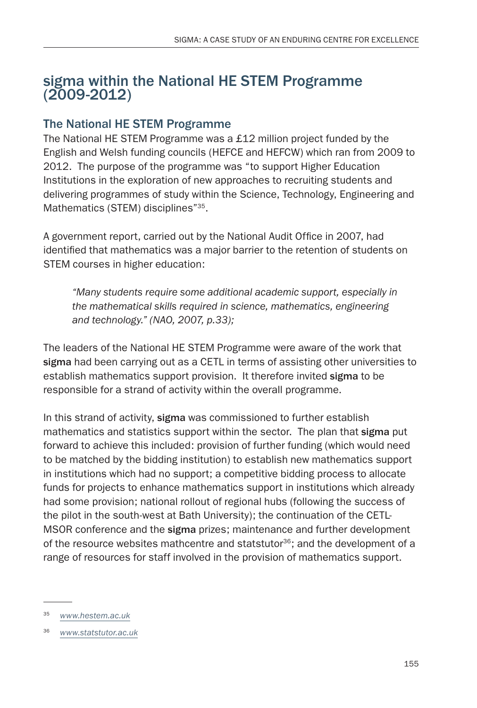### sigma within the National HE STEM Programme (2009-2012)

### The National HE STEM Programme

The National HE STEM Programme was a £12 million project funded by the English and Welsh funding councils (HEFCE and HEFCW) which ran from 2009 to 2012. The purpose of the programme was "to support Higher Education Institutions in the exploration of new approaches to recruiting students and delivering programmes of study within the Science, Technology, Engineering and Mathematics (STEM) disciplines"<sup>35</sup>.

A government report, carried out by the National Audit Office in 2007, had identified that mathematics was a major barrier to the retention of students on STEM courses in higher education:

*"Many students require some additional academic support, especially in the mathematical skills required in science, mathematics, engineering and technology." (NAO, 2007, p.33);*

The leaders of the National HE STEM Programme were aware of the work that sigma had been carrying out as a CETL in terms of assisting other universities to establish mathematics support provision. It therefore invited sigma to be responsible for a strand of activity within the overall programme.

In this strand of activity, sigma was commissioned to further establish mathematics and statistics support within the sector. The plan that sigma put forward to achieve this included: provision of further funding (which would need to be matched by the bidding institution) to establish new mathematics support in institutions which had no support; a competitive bidding process to allocate funds for projects to enhance mathematics support in institutions which already had some provision; national rollout of regional hubs (following the success of the pilot in the south-west at Bath University); the continuation of the CETL-MSOR conference and the sigma prizes; maintenance and further development of the resource websites mathcentre and statstutor<sup>36</sup>; and the development of a range of resources for staff involved in the provision of mathematics support.

<sup>35</sup> *[www.hestem.ac.uk](http://www.hestem.ac.uk)*

<sup>36</sup> *[www.statstutor.ac.uk](http://www.statstutor.ac.uk)*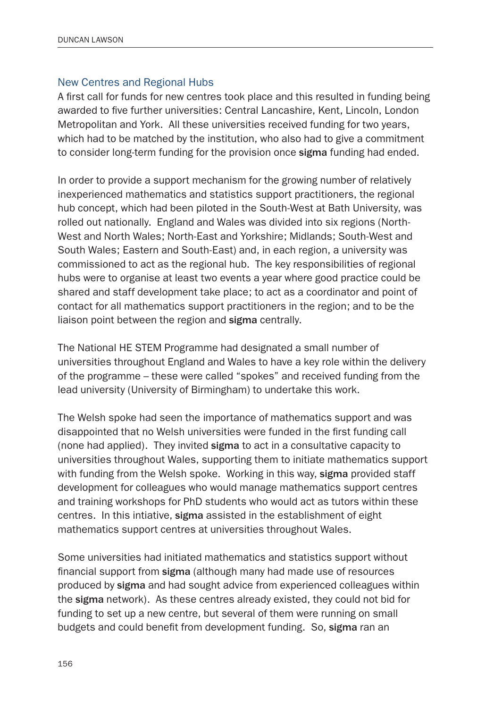#### New Centres and Regional Hubs

A first call for funds for new centres took place and this resulted in funding being awarded to five further universities: Central Lancashire, Kent, Lincoln, London Metropolitan and York. All these universities received funding for two years, which had to be matched by the institution, who also had to give a commitment to consider long-term funding for the provision once sigma funding had ended.

In order to provide a support mechanism for the growing number of relatively inexperienced mathematics and statistics support practitioners, the regional hub concept, which had been piloted in the South-West at Bath University, was rolled out nationally. England and Wales was divided into six regions (North-West and North Wales; North-East and Yorkshire; Midlands; South-West and South Wales; Eastern and South-East) and, in each region, a university was commissioned to act as the regional hub. The key responsibilities of regional hubs were to organise at least two events a year where good practice could be shared and staff development take place; to act as a coordinator and point of contact for all mathematics support practitioners in the region; and to be the liaison point between the region and sigma centrally.

The National HE STEM Programme had designated a small number of universities throughout England and Wales to have a key role within the delivery of the programme – these were called "spokes" and received funding from the lead university (University of Birmingham) to undertake this work.

The Welsh spoke had seen the importance of mathematics support and was disappointed that no Welsh universities were funded in the first funding call (none had applied). They invited sigma to act in a consultative capacity to universities throughout Wales, supporting them to initiate mathematics support with funding from the Welsh spoke. Working in this way, sigma provided staff development for colleagues who would manage mathematics support centres and training workshops for PhD students who would act as tutors within these centres. In this intiative, sigma assisted in the establishment of eight mathematics support centres at universities throughout Wales.

Some universities had initiated mathematics and statistics support without financial support from sigma (although many had made use of resources produced by sigma and had sought advice from experienced colleagues within the sigma network). As these centres already existed, they could not bid for funding to set up a new centre, but several of them were running on small budgets and could benefit from development funding. So, sigma ran an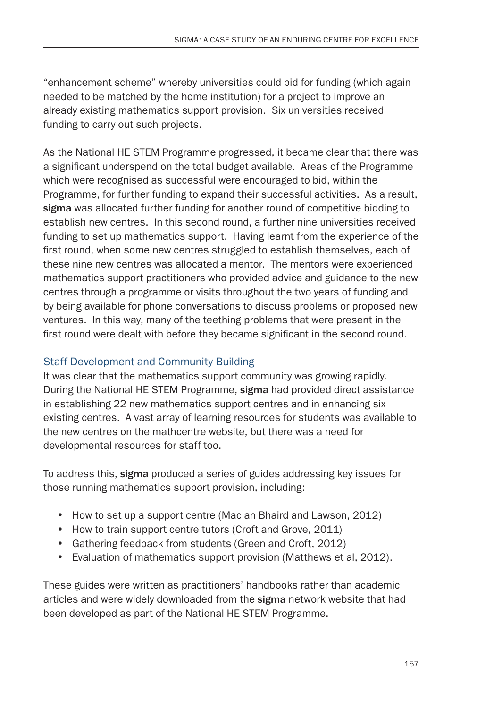"enhancement scheme" whereby universities could bid for funding (which again needed to be matched by the home institution) for a project to improve an already existing mathematics support provision. Six universities received funding to carry out such projects.

As the National HE STEM Programme progressed, it became clear that there was a significant underspend on the total budget available. Areas of the Programme which were recognised as successful were encouraged to bid, within the Programme, for further funding to expand their successful activities. As a result, sigma was allocated further funding for another round of competitive bidding to establish new centres. In this second round, a further nine universities received funding to set up mathematics support. Having learnt from the experience of the first round, when some new centres struggled to establish themselves, each of these nine new centres was allocated a mentor. The mentors were experienced mathematics support practitioners who provided advice and guidance to the new centres through a programme or visits throughout the two years of funding and by being available for phone conversations to discuss problems or proposed new ventures. In this way, many of the teething problems that were present in the first round were dealt with before they became significant in the second round.

### Staff Development and Community Building

It was clear that the mathematics support community was growing rapidly. During the National HE STEM Programme, sigma had provided direct assistance in establishing 22 new mathematics support centres and in enhancing six existing centres. A vast array of learning resources for students was available to the new centres on the mathcentre website, but there was a need for developmental resources for staff too.

To address this, sigma produced a series of guides addressing key issues for those running mathematics support provision, including:

- How to set up a support centre (Mac an Bhaird and Lawson, 2012)
- How to train support centre tutors (Croft and Grove, 2011)
- Gathering feedback from students (Green and Croft, 2012)
- Evaluation of mathematics support provision (Matthews et al, 2012).

These guides were written as practitioners' handbooks rather than academic articles and were widely downloaded from the sigma network website that had been developed as part of the National HE STEM Programme.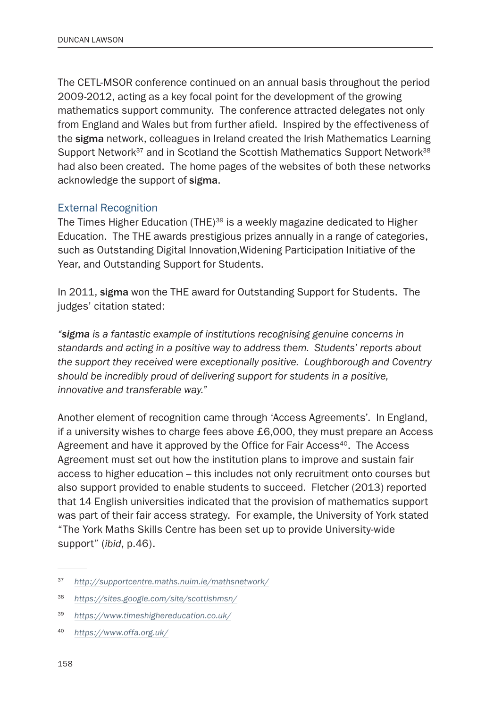The CETL-MSOR conference continued on an annual basis throughout the period 2009-2012, acting as a key focal point for the development of the growing mathematics support community. The conference attracted delegates not only from England and Wales but from further afield. Inspired by the effectiveness of the sigma network, colleagues in Ireland created the Irish Mathematics Learning Support Network<sup>37</sup> and in Scotland the Scottish Mathematics Support Network<sup>38</sup> had also been created. The home pages of the websites of both these networks acknowledge the support of sigma.

#### External Recognition

The Times Higher Education (THE)<sup>39</sup> is a weekly magazine dedicated to Higher Education. The THE awards prestigious prizes annually in a range of categories, such as Outstanding Digital Innovation,Widening Participation Initiative of the Year, and Outstanding Support for Students.

In 2011, sigma won the THE award for Outstanding Support for Students. The judges' citation stated:

*"sigma is a fantastic example of institutions recognising genuine concerns in standards and acting in a positive way to address them. Students' reports about the support they received were exceptionally positive. Loughborough and Coventry should be incredibly proud of delivering support for students in a positive, innovative and transferable way."* 

Another element of recognition came through 'Access Agreements'. In England, if a university wishes to charge fees above £6,000, they must prepare an Access Agreement and have it approved by the Office for Fair Access<sup>40</sup>. The Access Agreement must set out how the institution plans to improve and sustain fair access to higher education – this includes not only recruitment onto courses but also support provided to enable students to succeed. Fletcher (2013) reported that 14 English universities indicated that the provision of mathematics support was part of their fair access strategy. For example, the University of York stated "The York Maths Skills Centre has been set up to provide University-wide support" (*ibid*, p.46).

<sup>37</sup> *<http://supportcentre.maths.nuim.ie/mathsnetwork/>*

<sup>38</sup> *<https://sites.google.com/site/scottishmsn/>*

<sup>39</sup> *<https://www.timeshighereducation.co.uk/>*

<sup>40</sup> *https://www.offa.org.uk/*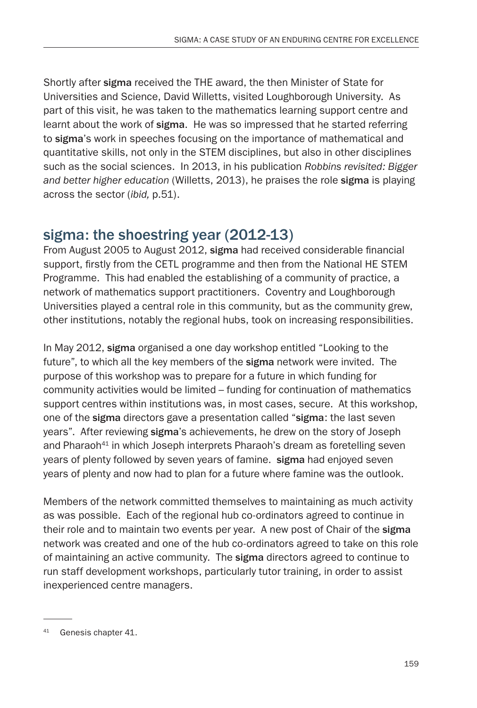Shortly after sigma received the THE award, the then Minister of State for Universities and Science, David Willetts, visited Loughborough University. As part of this visit, he was taken to the mathematics learning support centre and learnt about the work of sigma. He was so impressed that he started referring to sigma's work in speeches focusing on the importance of mathematical and quantitative skills, not only in the STEM disciplines, but also in other disciplines such as the social sciences. In 2013, in his publication *Robbins revisited: Bigger and better higher education* (Willetts, 2013), he praises the role sigma is playing across the sector (*ibid,* p.51).

# sigma: the shoestring year (2012-13)

From August 2005 to August 2012, sigma had received considerable financial support, firstly from the CETL programme and then from the National HE STEM Programme. This had enabled the establishing of a community of practice, a network of mathematics support practitioners. Coventry and Loughborough Universities played a central role in this community, but as the community grew, other institutions, notably the regional hubs, took on increasing responsibilities.

In May 2012, sigma organised a one day workshop entitled "Looking to the future", to which all the key members of the sigma network were invited. The purpose of this workshop was to prepare for a future in which funding for community activities would be limited – funding for continuation of mathematics support centres within institutions was, in most cases, secure. At this workshop, one of the sigma directors gave a presentation called "sigma: the last seven years". After reviewing sigma's achievements, he drew on the story of Joseph and Pharaoh<sup>41</sup> in which Joseph interprets Pharaoh's dream as foretelling seven years of plenty followed by seven years of famine. sigma had enjoyed seven years of plenty and now had to plan for a future where famine was the outlook.

Members of the network committed themselves to maintaining as much activity as was possible. Each of the regional hub co-ordinators agreed to continue in their role and to maintain two events per year. A new post of Chair of the sigma network was created and one of the hub co-ordinators agreed to take on this role of maintaining an active community. The sigma directors agreed to continue to run staff development workshops, particularly tutor training, in order to assist inexperienced centre managers.

<sup>41</sup> Genesis chapter 41.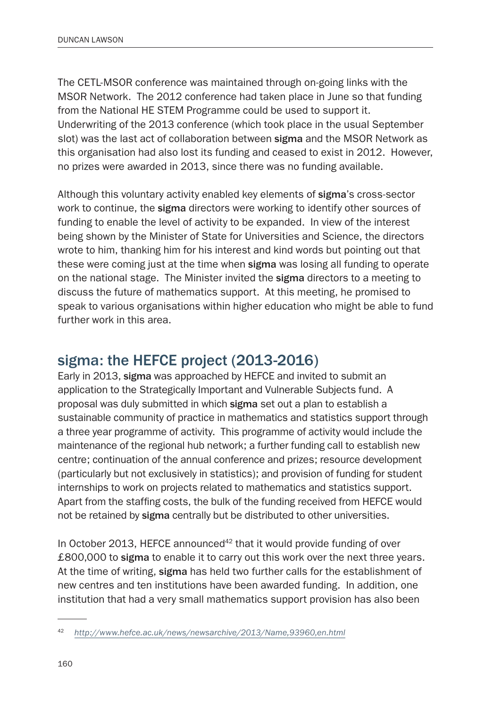The CETL-MSOR conference was maintained through on-going links with the MSOR Network. The 2012 conference had taken place in June so that funding from the National HE STEM Programme could be used to support it. Underwriting of the 2013 conference (which took place in the usual September slot) was the last act of collaboration between sigma and the MSOR Network as this organisation had also lost its funding and ceased to exist in 2012. However, no prizes were awarded in 2013, since there was no funding available.

Although this voluntary activity enabled key elements of sigma's cross-sector work to continue, the sigma directors were working to identify other sources of funding to enable the level of activity to be expanded. In view of the interest being shown by the Minister of State for Universities and Science, the directors wrote to him, thanking him for his interest and kind words but pointing out that these were coming just at the time when sigma was losing all funding to operate on the national stage. The Minister invited the sigma directors to a meeting to discuss the future of mathematics support. At this meeting, he promised to speak to various organisations within higher education who might be able to fund further work in this area.

### sigma: the HEFCE project (2013-2016)

Early in 2013, sigma was approached by HEFCE and invited to submit an application to the Strategically Important and Vulnerable Subjects fund. A proposal was duly submitted in which sigma set out a plan to establish a sustainable community of practice in mathematics and statistics support through a three year programme of activity. This programme of activity would include the maintenance of the regional hub network; a further funding call to establish new centre; continuation of the annual conference and prizes; resource development (particularly but not exclusively in statistics); and provision of funding for student internships to work on projects related to mathematics and statistics support. Apart from the staffing costs, the bulk of the funding received from HEFCE would not be retained by sigma centrally but be distributed to other universities.

In October 2013, HEFCE announced<sup>42</sup> that it would provide funding of over £800,000 to sigma to enable it to carry out this work over the next three years. At the time of writing, sigma has held two further calls for the establishment of new centres and ten institutions have been awarded funding. In addition, one institution that had a very small mathematics support provision has also been

<sup>42</sup> *<http://www.hefce.ac.uk/news/newsarchive/2013/Name,93960,en.html>*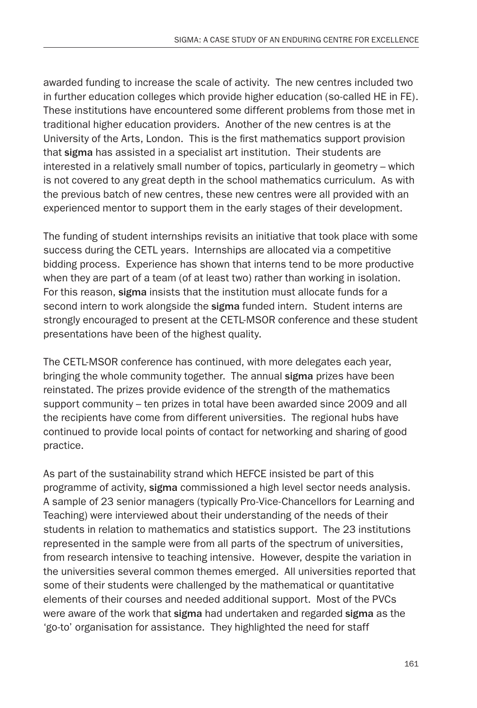awarded funding to increase the scale of activity. The new centres included two in further education colleges which provide higher education (so-called HE in FE). These institutions have encountered some different problems from those met in traditional higher education providers. Another of the new centres is at the University of the Arts, London. This is the first mathematics support provision that sigma has assisted in a specialist art institution. Their students are interested in a relatively small number of topics, particularly in geometry – which is not covered to any great depth in the school mathematics curriculum. As with the previous batch of new centres, these new centres were all provided with an experienced mentor to support them in the early stages of their development.

The funding of student internships revisits an initiative that took place with some success during the CETL years. Internships are allocated via a competitive bidding process. Experience has shown that interns tend to be more productive when they are part of a team (of at least two) rather than working in isolation. For this reason, sigma insists that the institution must allocate funds for a second intern to work alongside the sigma funded intern. Student interns are strongly encouraged to present at the CETL-MSOR conference and these student presentations have been of the highest quality.

The CETL-MSOR conference has continued, with more delegates each year, bringing the whole community together. The annual sigma prizes have been reinstated. The prizes provide evidence of the strength of the mathematics support community – ten prizes in total have been awarded since 2009 and all the recipients have come from different universities. The regional hubs have continued to provide local points of contact for networking and sharing of good practice.

As part of the sustainability strand which HEFCE insisted be part of this programme of activity, sigma commissioned a high level sector needs analysis. A sample of 23 senior managers (typically Pro-Vice-Chancellors for Learning and Teaching) were interviewed about their understanding of the needs of their students in relation to mathematics and statistics support. The 23 institutions represented in the sample were from all parts of the spectrum of universities, from research intensive to teaching intensive. However, despite the variation in the universities several common themes emerged. All universities reported that some of their students were challenged by the mathematical or quantitative elements of their courses and needed additional support. Most of the PVCs were aware of the work that sigma had undertaken and regarded sigma as the 'go-to' organisation for assistance. They highlighted the need for staff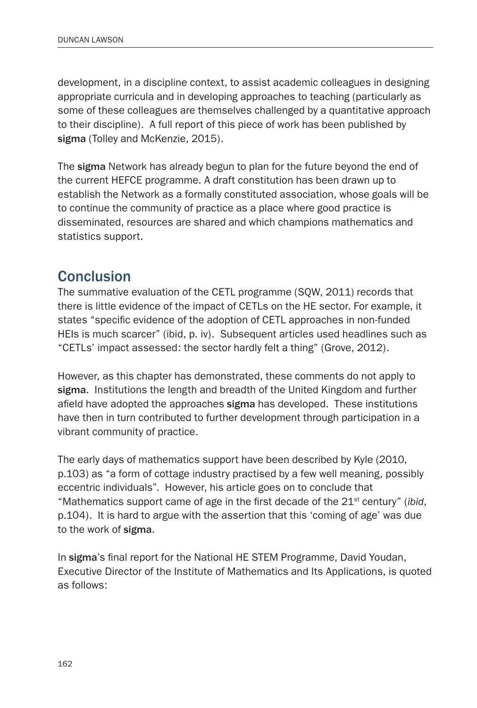development, in a discipline context, to assist academic colleagues in designing appropriate curricula and in developing approaches to teaching (particularly as some of these colleagues are themselves challenged by a quantitative approach to their discipline). A full report of this piece of work has been published by sigma (Tolley and McKenzie, 2015).

The sigma Network has already begun to plan for the future beyond the end of the current HEFCE programme. A draft constitution has been drawn up to establish the Network as a formally constituted association, whose goals will be to continue the community of practice as a place where good practice is disseminated, resources are shared and which champions mathematics and statistics support.

# **Conclusion**

The summative evaluation of the CETL programme (SQW, 2011) records that there is little evidence of the impact of CETLs on the HE sector. For example, it states "specific evidence of the adoption of CETL approaches in non-funded HEIs is much scarcer" (ibid, p. iv). Subsequent articles used headlines such as "CETLs' impact assessed: the sector hardly felt a thing" (Grove, 2012).

However, as this chapter has demonstrated, these comments do not apply to sigma. Institutions the length and breadth of the United Kingdom and further afield have adopted the approaches sigma has developed. These institutions have then in turn contributed to further development through participation in a vibrant community of practice.

The early days of mathematics support have been described by Kyle (2010, p.103) as "a form of cottage industry practised by a few well meaning, possibly eccentric individuals". However, his article goes on to conclude that "Mathematics support came of age in the first decade of the 21st century" (*ibid*, p.104). It is hard to argue with the assertion that this 'coming of age' was due to the work of sigma.

In sigma's final report for the National HE STEM Programme, David Youdan, Executive Director of the Institute of Mathematics and Its Applications, is quoted as follows: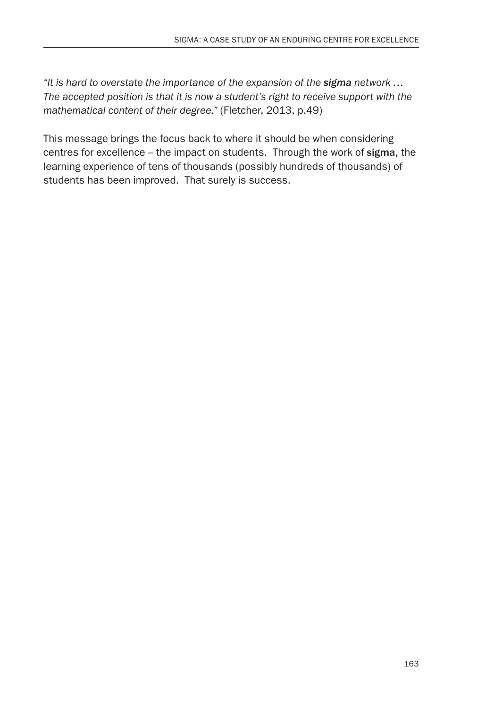*"It is hard to overstate the importance of the expansion of the sigma network … The accepted position is that it is now a student's right to receive support with the mathematical content of their degree."* (Fletcher, 2013, p.49)

This message brings the focus back to where it should be when considering centres for excellence – the impact on students. Through the work of sigma, the learning experience of tens of thousands (possibly hundreds of thousands) of students has been improved. That surely is success.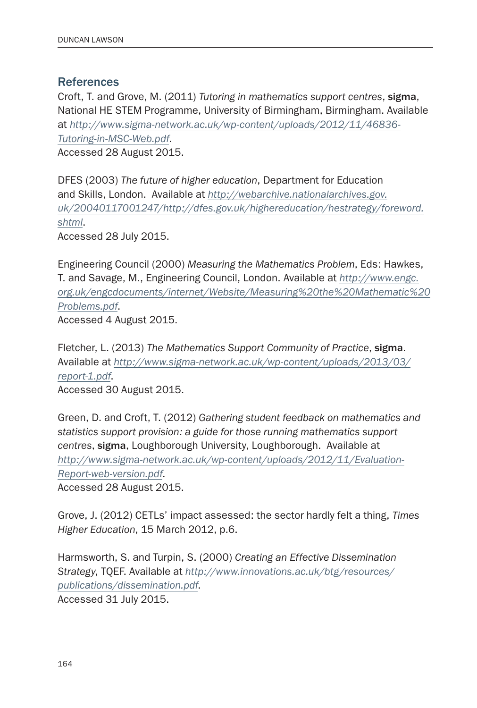#### References

Croft, T. and Grove, M. (2011) *Tutoring in mathematics support centres*, sigma, National HE STEM Programme, University of Birmingham, Birmingham. Available at *[http://www.sigma-network.ac.uk/wp-content/uploads/2012/11/46836-](http://www.sigma-network.ac.uk/wp-content/uploads/2012/11/46836-Tutoring-in-MSC-Web.pdf) [Tutoring-in-MSC-Web.pdf](http://www.sigma-network.ac.uk/wp-content/uploads/2012/11/46836-Tutoring-in-MSC-Web.pdf)*. Accessed 28 August 2015.

DFES (2003) *The future of higher education*, Department for Education and Skills, London. Available at *[http://webarchive.nationalarchives.gov.](http://webarchive.nationalarchives.gov.uk/20040117001247/http://dfes.gov.uk/highereducation/hestrategy/foreword.shtml) [uk/20040117001247/http://dfes.gov.uk/highereducation/hestrategy/foreword.](http://webarchive.nationalarchives.gov.uk/20040117001247/http://dfes.gov.uk/highereducation/hestrategy/foreword.shtml) [shtml](http://webarchive.nationalarchives.gov.uk/20040117001247/http://dfes.gov.uk/highereducation/hestrategy/foreword.shtml)*.

Accessed 28 July 2015.

Engineering Council (2000) *Measuring the Mathematics Problem*, Eds: Hawkes, T. and Savage, M., Engineering Council, London. Available at *[http://www.engc.](http://www.engc.org.uk/engcdocuments/internet/Website/Measuring%20the%20Mathematic%20Problems.pdf) [org.uk/engcdocuments/internet/Website/Measuring%20the%20Mathematic%20](http://www.engc.org.uk/engcdocuments/internet/Website/Measuring%20the%20Mathematic%20Problems.pdf) [Problems.pdf](http://www.engc.org.uk/engcdocuments/internet/Website/Measuring%20the%20Mathematic%20Problems.pdf)*.

Accessed 4 August 2015.

Fletcher, L. (2013) *The Mathematics Support Community of Practice*, sigma. Available at *[http://www.sigma-network.ac.uk/wp-content/uploads/2013/03/](http://www.sigma-network.ac.uk/wp-content/uploads/2013/03/report-1.pdf) [report-1.pdf](http://www.sigma-network.ac.uk/wp-content/uploads/2013/03/report-1.pdf)*.

Accessed 30 August 2015.

Green, D. and Croft, T. (2012) *Gathering student feedback on mathematics and statistics support provision: a guide for those running mathematics support centres*, sigma, Loughborough University, Loughborough. Available at *[http://www.sigma-network.ac.uk/wp-content/uploads/2012/11/Evaluation-](http://www.sigma-network.ac.uk/wp-content/uploads/2012/11/Evaluation-Report-web-version.pdf)[Report-web-version.pdf](http://www.sigma-network.ac.uk/wp-content/uploads/2012/11/Evaluation-Report-web-version.pdf)*.

Accessed 28 August 2015.

Grove, J. (2012) CETLs' impact assessed: the sector hardly felt a thing, *Times Higher Education*, 15 March 2012, p.6.

Harmsworth, S. and Turpin, S. (2000) *Creating an Effective Dissemination Strategy*, TQEF. Available at *[http://www.innovations.ac.uk/btg/resources/](http://www.innovations.ac.uk/btg/resources/publications/dissemination.pdf) [publications/dissemination.pdf](http://www.innovations.ac.uk/btg/resources/publications/dissemination.pdf)*.

Accessed 31 July 2015.